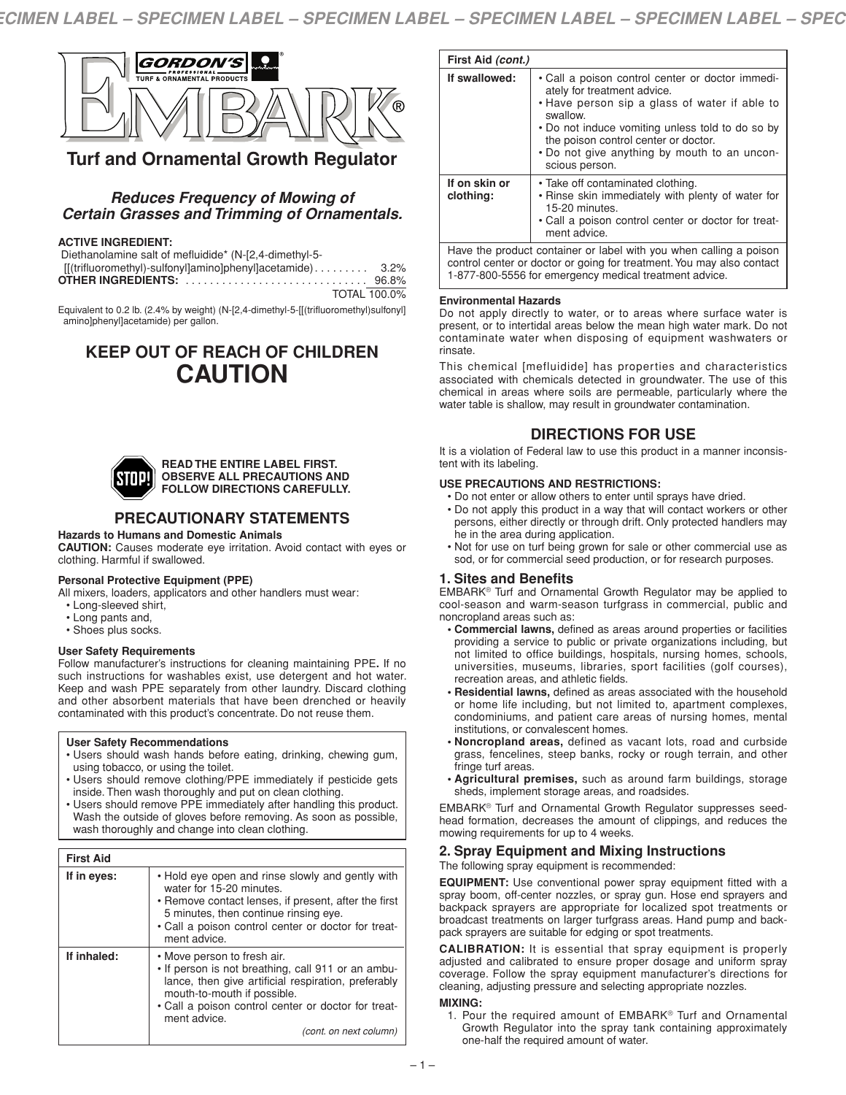

# **Turf and Ornamental Growth Regulator**

### *Reduces Frequency of Mowing of Certain Grasses and Trimming of Ornamentals.*

### **ACTIVE INGREDIENT:**

Diethanolamine salt of mefluidide\* (N-[2,4-dimethyl-5- [[(trifluoromethyl)-sulfonyl]amino]phenyl]acetamide). . . . . . . . . 3.2% **OTHER INGREDIENTS:** . . . . . . . . . . . . . . . . . . . . . . . . . . . . . . 96.8%

TOTAL 100.0%

Equivalent to 0.2 lb. (2.4% by weight) (N-[2,4-dimethyl-5-[[(trifluoromethyl)sulfonyl] amino]phenyl]acetamide) per gallon.

# **KEEP OUT OF REACH OF CHILDREN CAUTION**



#### **READ THE ENTIRE LABEL FIRST. OBSERVE ALL PRECAUTIONS AND FOLLOW DIRECTIONS CAREFULLY.**

# **PRECAUTIONARY STATEMENTS**

#### **Hazards to Humans and Domestic Animals**

**CAUTION:** Causes moderate eye irritation. Avoid contact with eyes or clothing. Harmful if swallowed.

### **Personal Protective Equipment (PPE)**

All mixers, loaders, applicators and other handlers must wear:

- Long-sleeved shirt,
- Long pants and,
- Shoes plus socks.

#### **User Safety Requirements**

Follow manufacturer's instructions for cleaning maintaining PPE**.** If no such instructions for washables exist, use detergent and hot water. Keep and wash PPE separately from other laundry. Discard clothing and other absorbent materials that have been drenched or heavily contaminated with this product's concentrate. Do not reuse them.

#### **User Safety Recommendations**

- Users should wash hands before eating, drinking, chewing gum, using tobacco, or using the toilet.
- Users should remove clothing/PPE immediately if pesticide gets inside. Then wash thoroughly and put on clean clothing.
- Users should remove PPE immediately after handling this product. Wash the outside of gloves before removing. As soon as possible, wash thoroughly and change into clean clothing.

| <b>First Aid</b> |                                                                                                                                                                                                                                                                          |
|------------------|--------------------------------------------------------------------------------------------------------------------------------------------------------------------------------------------------------------------------------------------------------------------------|
| If in eyes:      | • Hold eye open and rinse slowly and gently with<br>water for 15-20 minutes.<br>• Remove contact lenses, if present, after the first<br>5 minutes, then continue rinsing eye.<br>• Call a poison control center or doctor for treat-<br>ment advice.                     |
| If inhaled:      | • Move person to fresh air.<br>. If person is not breathing, call 911 or an ambu-<br>lance, then give artificial respiration, preferably<br>mouth-to-mouth if possible.<br>• Call a poison control center or doctor for treat-<br>ment advice.<br>(cont. on next column) |

| First Aid (cont.)                                                  |                                                                                                                                                                                                                                                                                                            |
|--------------------------------------------------------------------|------------------------------------------------------------------------------------------------------------------------------------------------------------------------------------------------------------------------------------------------------------------------------------------------------------|
| If swallowed:                                                      | • Call a poison control center or doctor immedi-<br>ately for treatment advice.<br>• Have person sip a glass of water if able to<br>swallow.<br>• Do not induce vomiting unless told to do so by<br>the poison control center or doctor.<br>. Do not give anything by mouth to an uncon-<br>scious person. |
| If on skin or<br>clothing:                                         | • Take off contaminated clothing.<br>. Rinse skin immediately with plenty of water for<br>15-20 minutes.<br>• Call a poison control center or doctor for treat-<br>ment advice.                                                                                                                            |
| Have the product container or label with you when calling a poison |                                                                                                                                                                                                                                                                                                            |

control center or doctor or going for treatment.You may also contact 1-877-800-5556 for emergency medical treatment advice.

#### **Environmental Hazards**

Do not apply directly to water, or to areas where surface water is present, or to intertidal areas below the mean high water mark. Do not contaminate water when disposing of equipment washwaters or rinsate.

This chemical [mefluidide] has properties and characteristics associated with chemicals detected in groundwater. The use of this chemical in areas where soils are permeable, particularly where the water table is shallow, may result in groundwater contamination.

## **DIRECTIONS FOR USE**

It is a violation of Federal law to use this product in a manner inconsistent with its labeling.

#### **USE PRECAUTIONS AND RESTRICTIONS:**

- Do not enter or allow others to enter until sprays have dried.
- Do not apply this product in a way that will contact workers or other persons, either directly or through drift. Only protected handlers may he in the area during application.
- Not for use on turf being grown for sale or other commercial use as sod, or for commercial seed production, or for research purposes.

### **1. Sites and Benefits**

EMBARK® Turf and Ornamental Growth Regulator may be applied to cool-season and warm-season turfgrass in commercial, public and noncropland areas such as:

- **• Commercial lawns,** defined as areas around properties or facilities providing a service to public or private organizations including, but not limited to office buildings, hospitals, nursing homes, schools, universities, museums, libraries, sport facilities (golf courses), recreation areas, and athletic fields.
- **• Residential lawns,** defined as areas associated with the household or home life including, but not limited to, apartment complexes, condominiums, and patient care areas of nursing homes, mental institutions, or convalescent homes.
- **• Noncropland areas,** defined as vacant lots, road and curbside grass, fencelines, steep banks, rocky or rough terrain, and other fringe turf areas.
- **• Agricultural premises,** such as around farm buildings, storage sheds, implement storage areas, and roadsides.

EMBARK® Turf and Ornamental Growth Regulator suppresses seedhead formation, decreases the amount of clippings, and reduces the mowing requirements for up to 4 weeks.

# **2. Spray Equipment and Mixing Instructions**

The following spray equipment is recommended:

**EQUIPMENT:** Use conventional power spray equipment fitted with a spray boom, off-center nozzles, or spray gun. Hose end sprayers and backpack sprayers are appropriate for localized spot treatments or broadcast treatments on larger turfgrass areas. Hand pump and backpack sprayers are suitable for edging or spot treatments.

**CALIBRATION:** It is essential that spray equipment is properly adjusted and calibrated to ensure proper dosage and uniform spray coverage. Follow the spray equipment manufacturer's directions for cleaning, adjusting pressure and selecting appropriate nozzles.

#### **MIXING:**

1. Pour the required amount of EMBARK® Turf and Ornamental Growth Regulator into the spray tank containing approximately one-half the required amount of water.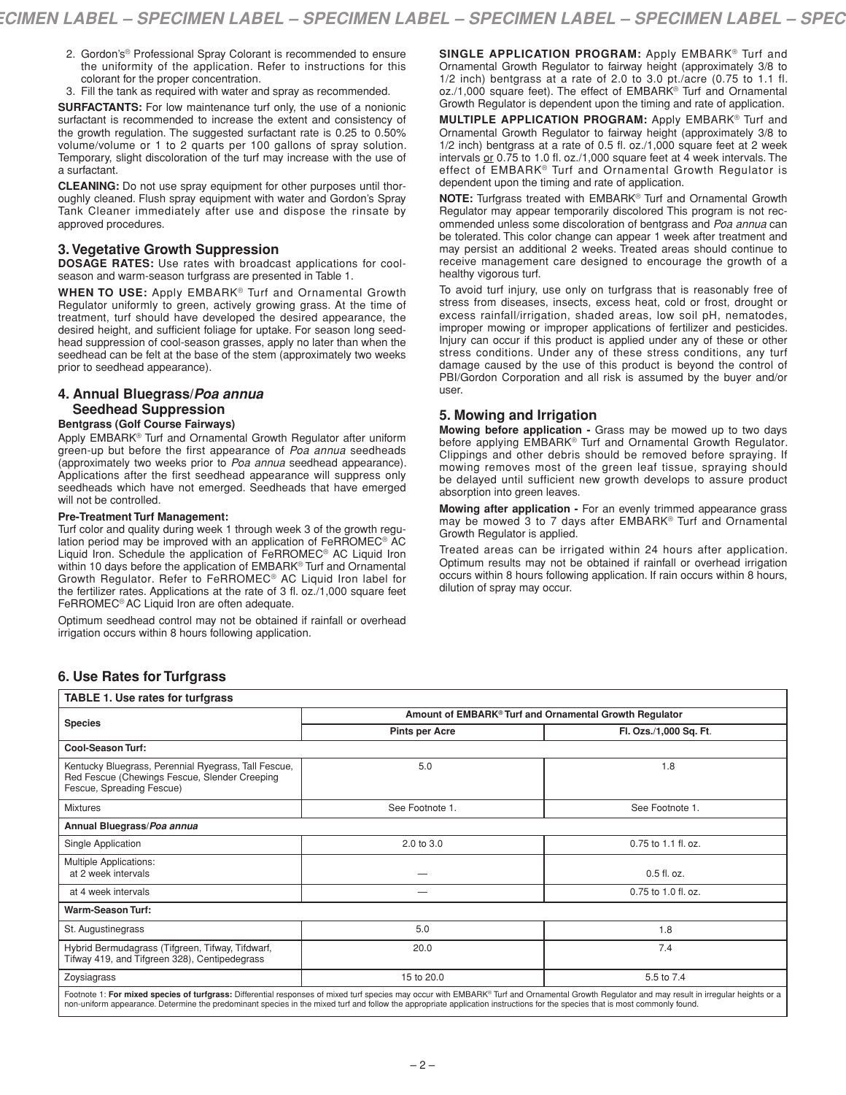- 2. Gordon's® Professional Spray Colorant is recommended to ensure the uniformity of the application. Refer to instructions for this colorant for the proper concentration.
- 3. Fill the tank as required with water and spray as recommended.

**SURFACTANTS:** For low maintenance turf only, the use of a nonionic surfactant is recommended to increase the extent and consistency of the growth regulation. The suggested surfactant rate is 0.25 to 0.50% volume/volume or 1 to 2 quarts per 100 gallons of spray solution. Temporary, slight discoloration of the turf may increase with the use of a surfactant.

**CLEANING:** Do not use spray equipment for other purposes until thoroughly cleaned. Flush spray equipment with water and Gordon's Spray Tank Cleaner immediately after use and dispose the rinsate by approved procedures.

### **3.Vegetative Growth Suppression**

**DOSAGE RATES:** Use rates with broadcast applications for coolseason and warm-season turfgrass are presented in Table 1.

**WHEN TO USE:** Apply EMBARK® Turf and Ornamental Growth Regulator uniformly to green, actively growing grass. At the time of treatment, turf should have developed the desired appearance, the desired height, and sufficient foliage for uptake. For season long seedhead suppression of cool-season grasses, apply no later than when the seedhead can be felt at the base of the stem (approximately two weeks prior to seedhead appearance).

### **4. Annual Bluegrass/***Poa annua* **Seedhead Suppression**

#### **Bentgrass (Golf Course Fairways)**

Apply EMBARK® Turf and Ornamental Growth Regulator after uniform green-up but before the first appearance of *Poa annua* seedheads (approximately two weeks prior to *Poa annua* seedhead appearance). Applications after the first seedhead appearance will suppress only seedheads which have not emerged. Seedheads that have emerged will not be controlled.

#### **Pre-Treatment Turf Management:**

Turf color and quality during week 1 through week 3 of the growth regulation period may be improved with an application of FeRROMEC® AC Liquid Iron. Schedule the application of FeRROMEC® AC Liquid Iron within 10 days before the application of EMBARK® Turf and Ornamental Growth Regulator. Refer to FeRROMEC® AC Liquid Iron label for the fertilizer rates. Applications at the rate of 3 fl. oz./1,000 square feet FeRROMEC® AC Liquid Iron are often adequate.

Optimum seedhead control may not be obtained if rainfall or overhead irrigation occurs within 8 hours following application.

**SINGLE APPLICATION PROGRAM:** Apply EMBARK® Turf and Ornamental Growth Regulator to fairway height (approximately 3/8 to 1/2 inch) bentgrass at a rate of 2.0 to 3.0 pt./acre (0.75 to 1.1 fl. oz./1,000 square feet). The effect of EMBARK® Turf and Ornamental Growth Regulator is dependent upon the timing and rate of application.

**MULTIPLE APPLICATION PROGRAM:** Apply EMBARK® Turf and Ornamental Growth Regulator to fairway height (approximately 3/8 to 1/2 inch) bentgrass at a rate of 0.5 fl. oz./1,000 square feet at 2 week intervals or 0.75 to 1.0 fl. oz./1,000 square feet at 4 week intervals. The effect of EMBARK® Turf and Ornamental Growth Regulator is dependent upon the timing and rate of application.

**NOTE:** Turfgrass treated with EMBARK® Turf and Ornamental Growth Regulator may appear temporarily discolored This program is not recommended unless some discoloration of bentgrass and *Poa annua* can be tolerated. This color change can appear 1 week after treatment and may persist an additional 2 weeks. Treated areas should continue to receive management care designed to encourage the growth of a healthy vigorous turf.

To avoid turf injury, use only on turfgrass that is reasonably free of stress from diseases, insects, excess heat, cold or frost, drought or excess rainfall/irrigation, shaded areas, low soil pH, nematodes, improper mowing or improper applications of fertilizer and pesticides. Injury can occur if this product is applied under any of these or other stress conditions. Under any of these stress conditions, any turf damage caused by the use of this product is beyond the control of PBI/Gordon Corporation and all risk is assumed by the buyer and/or user.

### **5. Mowing and Irrigation**

**Mowing before application -** Grass may be mowed up to two days before applying EMBARK<sup>®</sup> Turf and Ornamental Growth Regulator. Clippings and other debris should be removed before spraying. If mowing removes most of the green leaf tissue, spraying should be delayed until sufficient new growth develops to assure product absorption into green leaves.

**Mowing after application -** For an evenly trimmed appearance grass may be mowed 3 to 7 days after EMBARK® Turf and Ornamental Growth Regulator is applied.

Treated areas can be irrigated within 24 hours after application. Optimum results may not be obtained if rainfall or overhead irrigation occurs within 8 hours following application. If rain occurs within 8 hours, dilution of spray may occur.

### **6. Use Rates for Turfgrass**

| <b>TABLE 1. Use rates for turfgrass</b>                                                                                                                                                                                                                                                                                                                                       |                                                        |                        |  |
|-------------------------------------------------------------------------------------------------------------------------------------------------------------------------------------------------------------------------------------------------------------------------------------------------------------------------------------------------------------------------------|--------------------------------------------------------|------------------------|--|
|                                                                                                                                                                                                                                                                                                                                                                               | Amount of EMBARK® Turf and Ornamental Growth Regulator |                        |  |
| <b>Species</b>                                                                                                                                                                                                                                                                                                                                                                | <b>Pints per Acre</b>                                  | Fl. Ozs./1,000 Sq. Ft. |  |
| <b>Cool-Season Turf:</b>                                                                                                                                                                                                                                                                                                                                                      |                                                        |                        |  |
| Kentucky Bluegrass, Perennial Ryegrass, Tall Fescue,<br>Red Fescue (Chewings Fescue, Slender Creeping<br>Fescue, Spreading Fescue)                                                                                                                                                                                                                                            | 5.0                                                    | 1.8                    |  |
| <b>Mixtures</b>                                                                                                                                                                                                                                                                                                                                                               | See Footnote 1.                                        | See Footnote 1.        |  |
| Annual Bluegrass/Poa annua                                                                                                                                                                                                                                                                                                                                                    |                                                        |                        |  |
| Single Application                                                                                                                                                                                                                                                                                                                                                            | 2.0 to 3.0                                             | $0.75$ to 1.1 fl. oz.  |  |
| <b>Multiple Applications:</b><br>at 2 week intervals                                                                                                                                                                                                                                                                                                                          |                                                        | 0.5 fl. oz.            |  |
| at 4 week intervals                                                                                                                                                                                                                                                                                                                                                           |                                                        | 0.75 to 1.0 fl. oz.    |  |
| <b>Warm-Season Turf:</b>                                                                                                                                                                                                                                                                                                                                                      |                                                        |                        |  |
| St. Augustinegrass                                                                                                                                                                                                                                                                                                                                                            | 5.0                                                    | 1.8                    |  |
| Hybrid Bermudagrass (Tifgreen, Tifway, Tifdwarf,<br>Tifway 419, and Tifgreen 328), Centipedegrass                                                                                                                                                                                                                                                                             | 20.0                                                   | 7.4                    |  |
| Zoysiagrass                                                                                                                                                                                                                                                                                                                                                                   | 15 to 20.0                                             | 5.5 to 7.4             |  |
| Footnote 1: For mixed species of turfgrass: Differential responses of mixed turf species may occur with EMBARK® Turf and Ornamental Growth Regulator and may result in irregular heights or a<br>non-uniform appearance. Determine the predominant species in the mixed turf and follow the appropriate application instructions for the species that is most commonly found. |                                                        |                        |  |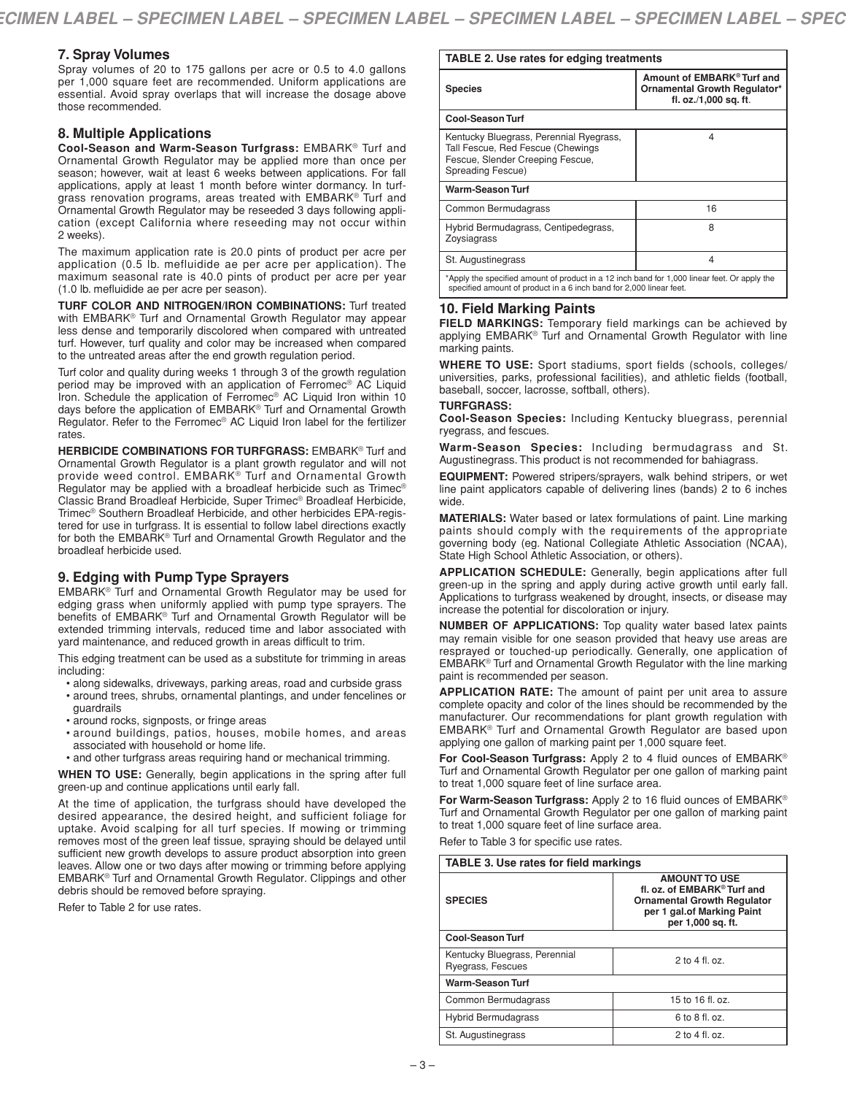### **7. Spray Volumes**

Spray volumes of 20 to 175 gallons per acre or 0.5 to 4.0 gallons per 1,000 square feet are recommended. Uniform applications are essential. Avoid spray overlaps that will increase the dosage above those recommended.

### **8. Multiple Applications**

**Cool-Season and Warm-Season Turfgrass:** EMBARK® Turf and Ornamental Growth Regulator may be applied more than once per season; however, wait at least 6 weeks between applications. For fall applications, apply at least 1 month before winter dormancy. In turfgrass renovation programs, areas treated with EMBARK® Turf and Ornamental Growth Regulator may be reseeded 3 days following application (except California where reseeding may not occur within 2 weeks).

The maximum application rate is 20.0 pints of product per acre per application (0.5 lb. mefluidide ae per acre per application). The maximum seasonal rate is 40.0 pints of product per acre per year (1.0 lb. mefluidide ae per acre per season).

**TURF COLOR AND NITROGEN/IRON COMBINATIONS:** Turf treated with EMBARK® Turf and Ornamental Growth Regulator may appear less dense and temporarily discolored when compared with untreated turf. However, turf quality and color may be increased when compared to the untreated areas after the end growth regulation period.

Turf color and quality during weeks 1 through 3 of the growth regulation period may be improved with an application of Ferromec® AC Liquid Iron. Schedule the application of Ferromec® AC Liquid Iron within 10 days before the application of EMBARK® Turf and Ornamental Growth Regulator. Refer to the Ferromec® AC Liquid Iron label for the fertilizer rates.

**HERBICIDE COMBINATIONS FOR TURFGRASS:** EMBARK® Turf and Ornamental Growth Regulator is a plant growth regulator and will not provide weed control. EMBARK<sup>®</sup> Turf and Ornamental Growth Regulator may be applied with a broadleaf herbicide such as Trimec® Classic Brand Broadleaf Herbicide, Super Trimec® Broadleaf Herbicide, Trimec® Southern Broadleaf Herbicide, and other herbicides EPA-registered for use in turfgrass. It is essential to follow label directions exactly for both the EMBARK® Turf and Ornamental Growth Regulator and the broadleaf herbicide used.

### **9. Edging with Pump Type Sprayers**

EMBARK® Turf and Ornamental Growth Regulator may be used for edging grass when uniformly applied with pump type sprayers. The benefits of EMBARK® Turf and Ornamental Growth Regulator will be extended trimming intervals, reduced time and labor associated with yard maintenance, and reduced growth in areas difficult to trim.

This edging treatment can be used as a substitute for trimming in areas including:

- along sidewalks, driveways, parking areas, road and curbside grass
- around trees, shrubs, ornamental plantings, and under fencelines or guardrails
- around rocks, signposts, or fringe areas
- around buildings, patios, houses, mobile homes, and areas associated with household or home life.
- and other turfgrass areas requiring hand or mechanical trimming.

**WHEN TO USE:** Generally, begin applications in the spring after full green-up and continue applications until early fall.

At the time of application, the turfgrass should have developed the desired appearance, the desired height, and sufficient foliage for uptake. Avoid scalping for all turf species. If mowing or trimming removes most of the green leaf tissue, spraying should be delayed until sufficient new growth develops to assure product absorption into green leaves. Allow one or two days after mowing or trimming before applying EMBARK® Turf and Ornamental Growth Regulator. Clippings and other debris should be removed before spraying.

Refer to Table 2 for use rates.

### **TABLE 2. Use rates for edging treatments**

| <b>Species</b>                                                                                                                                                      | Amount of EMBARK® Turf and<br>Ornamental Growth Regulator*<br>fl. oz./1,000 sq. ft. |  |
|---------------------------------------------------------------------------------------------------------------------------------------------------------------------|-------------------------------------------------------------------------------------|--|
| <b>Cool-Season Turf</b>                                                                                                                                             |                                                                                     |  |
| Kentucky Bluegrass, Perennial Ryegrass,<br>Tall Fescue, Red Fescue (Chewings<br>Fescue, Slender Creeping Fescue,<br>Spreading Fescue)                               | 4                                                                                   |  |
| <b>Warm-Season Turf</b>                                                                                                                                             |                                                                                     |  |
| Common Bermudagrass                                                                                                                                                 | 16                                                                                  |  |
| Hybrid Bermudagrass, Centipedegrass,<br>Zoysiagrass                                                                                                                 | 8                                                                                   |  |
| St. Augustinegrass                                                                                                                                                  | 4                                                                                   |  |
| *Apply the specified amount of product in a 12 inch band for 1,000 linear feet. Or apply the<br>specified amount of product in a 6 inch band for 2,000 linear feet. |                                                                                     |  |

### **10. Field Marking Paints**

**FIELD MARKINGS:** Temporary field markings can be achieved by applying EMBARK® Turf and Ornamental Growth Regulator with line marking paints.

**WHERE TO USE:** Sport stadiums, sport fields (schools, colleges/ universities, parks, professional facilities), and athletic fields (football, baseball, soccer, lacrosse, softball, others).

#### **TURFGRASS:**

**Cool-Season Species:** Including Kentucky bluegrass, perennial ryegrass, and fescues.

**Warm-Season Species:** Including bermudagrass and St. Augustinegrass. This product is not recommended for bahiagrass.

**EQUIPMENT:** Powered stripers/sprayers, walk behind stripers, or wet line paint applicators capable of delivering lines (bands) 2 to 6 inches wide.

**MATERIALS:** Water based or latex formulations of paint. Line marking paints should comply with the requirements of the appropriate governing body (eg. National Collegiate Athletic Association (NCAA), State High School Athletic Association, or others).

**APPLICATION SCHEDULE:** Generally, begin applications after full green-up in the spring and apply during active growth until early fall. Applications to turfgrass weakened by drought, insects, or disease may increase the potential for discoloration or injury.

**NUMBER OF APPLICATIONS:** Top quality water based latex paints may remain visible for one season provided that heavy use areas are resprayed or touched-up periodically. Generally, one application of EMBARK® Turf and Ornamental Growth Regulator with the line marking paint is recommended per season.

**APPLICATION RATE:** The amount of paint per unit area to assure complete opacity and color of the lines should be recommended by the manufacturer. Our recommendations for plant growth regulation with EMBARK® Turf and Ornamental Growth Regulator are based upon applying one gallon of marking paint per 1,000 square feet.

**For Cool-Season Turfgrass:** Apply 2 to 4 fluid ounces of EMBARK® Turf and Ornamental Growth Regulator per one gallon of marking paint to treat 1,000 square feet of line surface area.

**For Warm-Season Turfgrass:** Apply 2 to 16 fluid ounces of EMBARK® Turf and Ornamental Growth Regulator per one gallon of marking paint to treat 1,000 square feet of line surface area.

Refer to Table 3 for specific use rates.

| <b>TABLE 3. Use rates for field markings</b>       |                                                                                                                                              |  |
|----------------------------------------------------|----------------------------------------------------------------------------------------------------------------------------------------------|--|
| <b>SPECIES</b>                                     | <b>AMOUNT TO USE</b><br>fl. oz. of EMBARK® Turf and<br><b>Ornamental Growth Regulator</b><br>per 1 gal.of Marking Paint<br>per 1,000 sq. ft. |  |
| <b>Cool-Season Turf</b>                            |                                                                                                                                              |  |
| Kentucky Bluegrass, Perennial<br>Ryegrass, Fescues | $2$ to $4$ fl. oz.                                                                                                                           |  |
| <b>Warm-Season Turf</b>                            |                                                                                                                                              |  |
| Common Bermudagrass                                | 15 to 16 fl. oz.                                                                                                                             |  |
| <b>Hybrid Bermudagrass</b>                         | $6$ to $8$ fl. oz.                                                                                                                           |  |
| St. Augustinegrass                                 | $2$ to $4$ fl. oz.                                                                                                                           |  |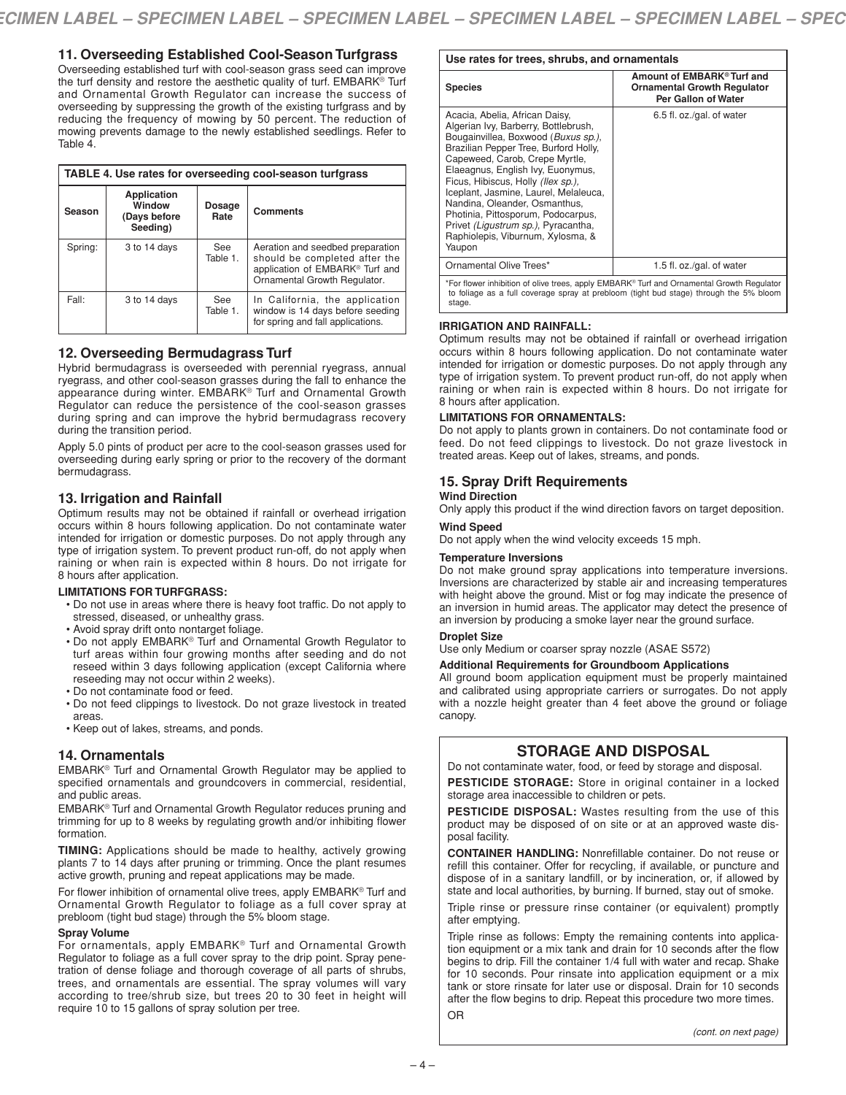### **11. Overseeding Established Cool-Season Turfgrass**

Overseeding established turf with cool-season grass seed can improve the turf density and restore the aesthetic quality of turf. EMBARK® Turf and Ornamental Growth Regulator can increase the success of overseeding by suppressing the growth of the existing turfgrass and by reducing the frequency of mowing by 50 percent. The reduction of mowing prevents damage to the newly established seedlings. Refer to Table 4.

| TABLE 4. Use rates for overseeding cool-season turfgrass |                                                           |                        |                                                                                                                                      |  |
|----------------------------------------------------------|-----------------------------------------------------------|------------------------|--------------------------------------------------------------------------------------------------------------------------------------|--|
| Season                                                   | <b>Application</b><br>Window<br>(Days before)<br>Seeding) | Dosage<br>Rate         | <b>Comments</b>                                                                                                                      |  |
| Spring:                                                  | 3 to 14 days                                              | <b>See</b><br>Table 1. | Aeration and seedbed preparation<br>should be completed after the<br>application of EMBARK® Turf and<br>Ornamental Growth Regulator. |  |
| Fall:                                                    | 3 to 14 days                                              | See<br>Table 1.        | In California, the application<br>window is 14 days before seeding<br>for spring and fall applications.                              |  |

### **12. Overseeding Bermudagrass Turf**

Hybrid bermudagrass is overseeded with perennial ryegrass, annual ryegrass, and other cool-season grasses during the fall to enhance the appearance during winter. EMBARK® Turf and Ornamental Growth Regulator can reduce the persistence of the cool-season grasses during spring and can improve the hybrid bermudagrass recovery during the transition period.

Apply 5.0 pints of product per acre to the cool-season grasses used for overseeding during early spring or prior to the recovery of the dormant bermudagrass.

### **13. Irrigation and Rainfall**

Optimum results may not be obtained if rainfall or overhead irrigation occurs within 8 hours following application. Do not contaminate water intended for irrigation or domestic purposes. Do not apply through any type of irrigation system. To prevent product run-off, do not apply when raining or when rain is expected within 8 hours. Do not irrigate for 8 hours after application.

#### **LIMITATIONS FOR TURFGRASS:**

- Do not use in areas where there is heavy foot traffic. Do not apply to stressed, diseased, or unhealthy grass.
- Avoid spray drift onto nontarget foliage.
- Do not apply EMBARK® Turf and Ornamental Growth Regulator to turf areas within four growing months after seeding and do not reseed within 3 days following application (except California where reseeding may not occur within 2 weeks).
- Do not contaminate food or feed.
- Do not feed clippings to livestock. Do not graze livestock in treated areas.
- Keep out of lakes, streams, and ponds.

### **14. Ornamentals**

EMBARK® Turf and Ornamental Growth Regulator may be applied to specified ornamentals and groundcovers in commercial, residential, and public areas.

EMBARK® Turf and Ornamental Growth Regulator reduces pruning and trimming for up to 8 weeks by regulating growth and/or inhibiting flower formation.

**TIMING:** Applications should be made to healthy, actively growing plants 7 to 14 days after pruning or trimming. Once the plant resumes active growth, pruning and repeat applications may be made.

For flower inhibition of ornamental olive trees, apply EMBARK® Turf and Ornamental Growth Regulator to foliage as a full cover spray at prebloom (tight bud stage) through the 5% bloom stage.

#### **Spray Volume**

For ornamentals, apply EMBARK® Turf and Ornamental Growth Regulator to foliage as a full cover spray to the drip point. Spray penetration of dense foliage and thorough coverage of all parts of shrubs, trees, and ornamentals are essential. The spray volumes will vary according to tree/shrub size, but trees 20 to 30 feet in height will require 10 to 15 gallons of spray solution per tree.

#### **Use rates for trees, shrubs, and ornamentals**

| <b>Species</b>                                                                                                                                                                                                                                                                                                                                                                                                                                                            | Amount of EMBARK <sup>®</sup> Turf and<br><b>Ornamental Growth Regulator</b><br>Per Gallon of Water |  |
|---------------------------------------------------------------------------------------------------------------------------------------------------------------------------------------------------------------------------------------------------------------------------------------------------------------------------------------------------------------------------------------------------------------------------------------------------------------------------|-----------------------------------------------------------------------------------------------------|--|
| Acacia, Abelia, African Daisy,<br>Algerian Ivy, Barberry, Bottlebrush,<br>Bougainvillea, Boxwood (Buxus sp.),<br>Brazilian Pepper Tree, Burford Holly,<br>Capeweed, Carob, Crepe Myrtle,<br>Elaeagnus, English Ivy, Euonymus,<br>Ficus, Hibiscus, Holly (Ilex sp.).<br>Iceplant, Jasmine, Laurel, Melaleuca,<br>Nandina, Oleander, Osmanthus,<br>Photinia, Pittosporum, Podocarpus,<br>Privet (Ligustrum sp.), Pyracantha,<br>Raphiolepis, Viburnum, Xylosma, &<br>Yaupon | 6.5 fl. oz./gal. of water                                                                           |  |
| Ornamental Olive Trees*                                                                                                                                                                                                                                                                                                                                                                                                                                                   | 1.5 fl. oz./gal. of water                                                                           |  |
| *For flower inhibition of olive trees, apply EMBARK® Turf and Ornamental Growth Regulator                                                                                                                                                                                                                                                                                                                                                                                 |                                                                                                     |  |

\*For flower inhibition of olive trees, apply EMBARK® Turf and Ornamental Growth Regulator to foliage as a full coverage spray at prebloom (tight bud stage) through the 5% bloom stage.

#### **IRRIGATION AND RAINFALL:**

Optimum results may not be obtained if rainfall or overhead irrigation occurs within 8 hours following application. Do not contaminate water intended for irrigation or domestic purposes. Do not apply through any type of irrigation system. To prevent product run-off, do not apply when raining or when rain is expected within 8 hours. Do not irrigate for 8 hours after application.

#### **LIMITATIONS FOR ORNAMENTALS:**

Do not apply to plants grown in containers. Do not contaminate food or feed. Do not feed clippings to livestock. Do not graze livestock in treated areas. Keep out of lakes, streams, and ponds.

# **15. Spray Drift Requirements**

#### **Wind Direction**

Only apply this product if the wind direction favors on target deposition.

### **Wind Speed**

Do not apply when the wind velocity exceeds 15 mph.

#### **Temperature Inversions**

Do not make ground spray applications into temperature inversions. Inversions are characterized by stable air and increasing temperatures with height above the ground. Mist or fog may indicate the presence of an inversion in humid areas. The applicator may detect the presence of an inversion by producing a smoke layer near the ground surface.

#### **Droplet Size**

Use only Medium or coarser spray nozzle (ASAE S572)

#### **Additional Requirements for Groundboom Applications**

All ground boom application equipment must be properly maintained and calibrated using appropriate carriers or surrogates. Do not apply with a nozzle height greater than 4 feet above the ground or foliage canopy.

### **STORAGE AND DISPOSAL**

Do not contaminate water, food, or feed by storage and disposal.

**PESTICIDE STORAGE:** Store in original container in a locked storage area inaccessible to children or pets.

**PESTICIDE DISPOSAL:** Wastes resulting from the use of this product may be disposed of on site or at an approved waste disposal facility.

**CONTAINER HANDLING:** Nonrefillable container. Do not reuse or refill this container. Offer for recycling, if available, or puncture and dispose of in a sanitary landfill, or by incineration, or, if allowed by state and local authorities, by burning. If burned, stay out of smoke.

Triple rinse or pressure rinse container (or equivalent) promptly after emptying.

Triple rinse as follows: Empty the remaining contents into application equipment or a mix tank and drain for 10 seconds after the flow begins to drip. Fill the container 1/4 full with water and recap. Shake for 10 seconds. Pour rinsate into application equipment or a mix tank or store rinsate for later use or disposal. Drain for 10 seconds after the flow begins to drip. Repeat this procedure two more times. OR